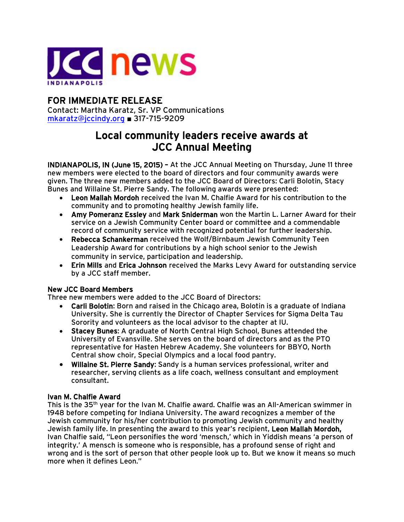

## FOR IMMEDIATE RELEASE

Contact: Martha Karatz, Sr. VP Communications [mkaratz@jccindy.org](mailto:mkaratz@jccindy.org) ■ 317-715-9209

# Local community leaders receive awards at JCC Annual Meeting

INDIANAPOLIS, IN (June 15, 2015) – At the JCC Annual Meeting on Thursday, June 11 three new members were elected to the board of directors and four community awards were given. The three new members added to the JCC Board of Directors: Carli Bolotin, Stacy Bunes and Willaine St. Pierre Sandy. The following awards were presented:

- Leon Mallah Mordoh received the Ivan M. Chalfie Award for his contribution to the community and to promoting healthy Jewish family life.
- Amy Pomeranz Essley and Mark Sniderman won the Martin L. Larner Award for their service on a Jewish Community Center board or committee and a commendable record of community service with recognized potential for further leadership.
- Rebecca Schankerman received the Wolf/Birnbaum Jewish Community Teen Leadership Award for contributions by a high school senior to the Jewish community in service, participation and leadership.
- Erin Mills and Erica Johnson received the Marks Levy Award for outstanding service by a JCC staff member.

### New JCC Board Members

Three new members were added to the JCC Board of Directors:

- Carli Bolotin: Born and raised in the Chicago area, Bolotin is a graduate of Indiana University. She is currently the Director of Chapter Services for Sigma Delta Tau Sorority and volunteers as the local advisor to the chapter at IU.
- Stacey Bunes: A graduate of North Central High School, Bunes attended the University of Evansville. She serves on the board of directors and as the PTO representative for Hasten Hebrew Academy. She volunteers for BBYO, North Central show choir, Special Olympics and a local food pantry.
- Willaine St. Pierre Sandy: Sandy is a human services professional, writer and researcher, serving clients as a life coach, wellness consultant and employment consultant.

#### Ivan M. Chalfie Award

This is the 35th year for the Ivan M. Chalfie award. Chalfie was an All-American swimmer in 1948 before competing for Indiana University. The award recognizes a member of the Jewish community for his/her contribution to promoting Jewish community and healthy Jewish family life. In presenting the award to this year's recipient, Leon Mallah Mordoh, Ivan Chalfie said, "Leon personifies the word 'mensch,' which in Yiddish means 'a person of integrity.' A mensch is someone who is responsible, has a profound sense of right and wrong and is the sort of person that other people look up to. But we know it means so much more when it defines Leon."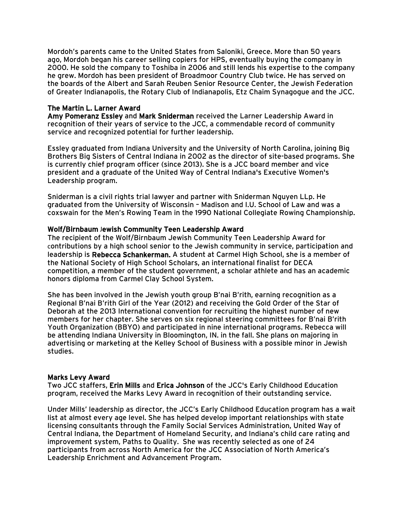Mordoh's parents came to the United States from Saloniki, Greece. More than 50 years ago, Mordoh began his career selling copiers for HPS, eventually buying the company in 2000. He sold the company to Toshiba in 2006 and still lends his expertise to the company he grew. Mordoh has been president of Broadmoor Country Club twice. He has served on the boards of the Albert and Sarah Reuben Senior Resource Center, the Jewish Federation of Greater Indianapolis, the Rotary Club of Indianapolis, Etz Chaim Synagogue and the JCC.

#### The Martin L. Larner Award

Amy Pomeranz Essley and Mark Sniderman received the Larner Leadership Award in recognition of their years of service to the JCC, a commendable record of community service and recognized potential for further leadership.

Essley graduated from Indiana University and the University of North Carolina, joining Big Brothers Big Sisters of Central Indiana in 2002 as the director of site-based programs. She is currently chief program officer (since 2013). She is a JCC board member and vice president and a graduate of the United Way of Central Indiana's Executive Women's Leadership program.

Sniderman is a civil rights trial lawyer and partner with Sniderman Nguyen LLp. He graduated from the University of Wisconsin – Madison and I.U. School of Law and was a coxswain for the Men's Rowing Team in the 1990 National Collegiate Rowing Championship.

#### Wolf/Birnbaum Jewish Community Teen Leadership Award

The recipient of the Wolf/Birnbaum Jewish Community Teen Leadership Award for contributions by a high school senior to the Jewish community in service, participation and leadership is Rebecca Schankerman. A student at Carmel High School, she is a member of the National Society of High School Scholars, an international finalist for DECA competition, a member of the student government, a scholar athlete and has an academic honors diploma from Carmel Clay School System.

She has been involved in the Jewish youth group B'nai B'rith, earning recognition as a Regional B'nai B'rith Girl of the Year (2012) and receiving the Gold Order of the Star of Deborah at the 2013 International convention for recruiting the highest number of new members for her chapter. She serves on six regional steering committees for B'nai B'rith Youth Organization (BBYO) and participated in nine international programs. Rebecca will be attending Indiana University in Bloomington, IN. in the fall. She plans on majoring in advertising or marketing at the Kelley School of Business with a possible minor in Jewish studies.

#### Marks Levy Award

Two JCC staffers, Erin Mills and Erica Johnson of the JCC's Early Childhood Education program, received the Marks Levy Award in recognition of their outstanding service.

Under Mills' leadership as director, the JCC's Early Childhood Education program has a wait list at almost every age level. She has helped develop important relationships with state licensing consultants through the Family Social Services Administration, United Way of Central Indiana, the Department of Homeland Security, and Indiana's child care rating and improvement system, Paths to Quality. She was recently selected as one of 24 participants from across North America for the JCC Association of North America's Leadership Enrichment and Advancement Program.